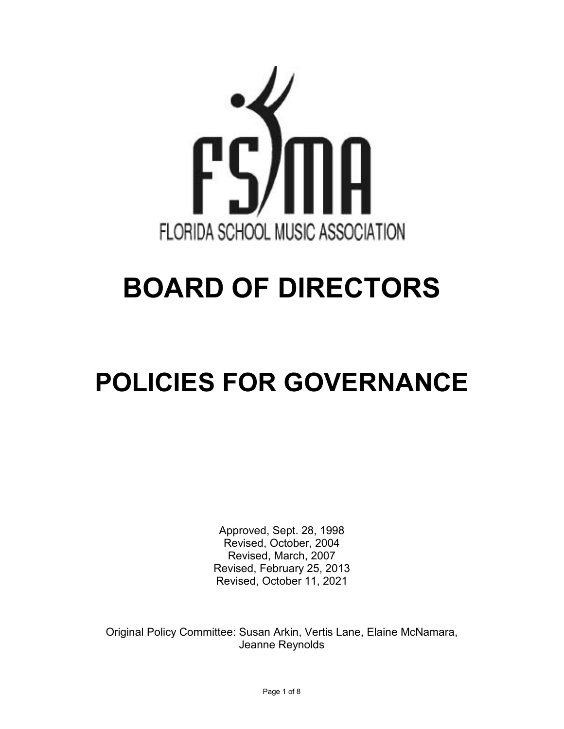

# **BOARD OF DIRECTORS**

# **POLICIES FOR GOVERNANCE**

Approved, Sept. 28, 1998 Revised, October, 2004 Revised, March, 2007 Revised, February 25, 2013 Revised, October 11, 2021

Original Policy Committee: Susan Arkin, Vertis Lane, Elaine McNamara, Jeanne Reynolds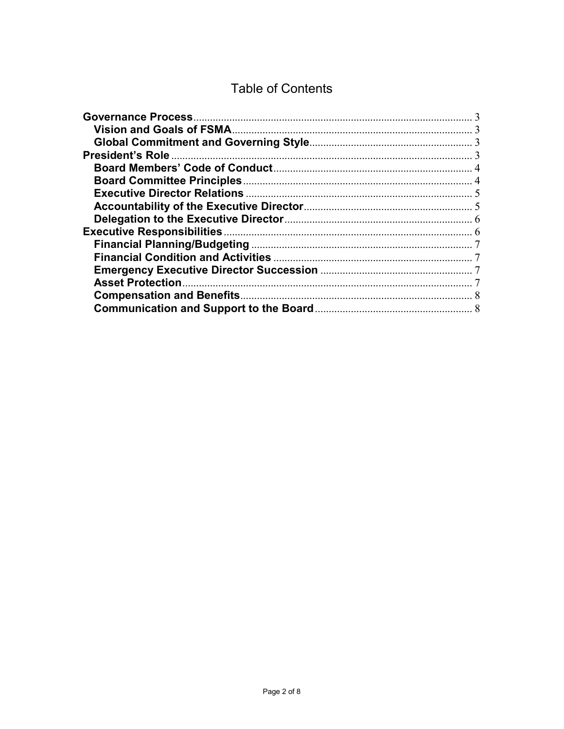### **Table of Contents**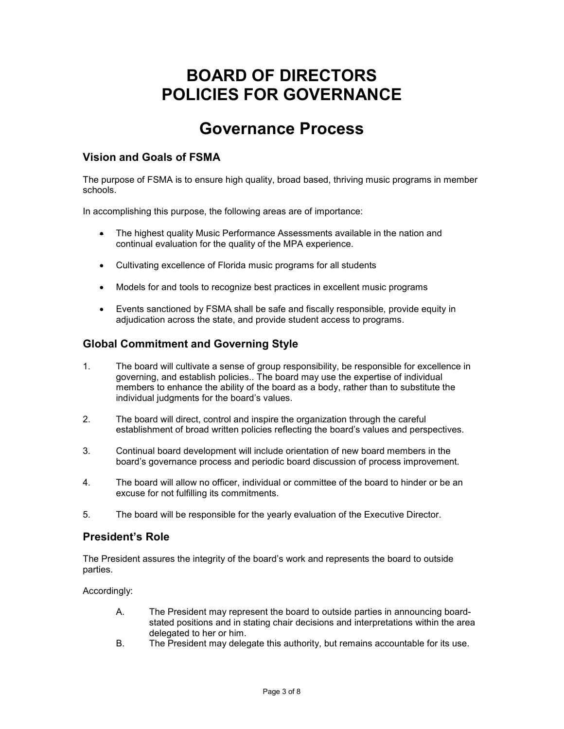## **BOARD OF DIRECTORS POLICIES FOR GOVERNANCE**

## **Governance Process**

#### <span id="page-2-1"></span><span id="page-2-0"></span>**Vision and Goals of FSMA**

The purpose of FSMA is to ensure high quality, broad based, thriving music programs in member schools.

In accomplishing this purpose, the following areas are of importance:

- The highest quality Music Performance Assessments available in the nation and continual evaluation for the quality of the MPA experience.
- Cultivating excellence of Florida music programs for all students
- Models for and tools to recognize best practices in excellent music programs
- Events sanctioned by FSMA shall be safe and fiscally responsible, provide equity in adjudication across the state, and provide student access to programs.

#### <span id="page-2-2"></span>**Global Commitment and Governing Style**

- 1. The board will cultivate a sense of group responsibility, be responsible for excellence in governing, and establish policies.. The board may use the expertise of individual members to enhance the ability of the board as a body, rather than to substitute the individual judgments for the board's values.
- 2. The board will direct, control and inspire the organization through the careful establishment of broad written policies reflecting the board's values and perspectives.
- 3. Continual board development will include orientation of new board members in the board's governance process and periodic board discussion of process improvement.
- 4. The board will allow no officer, individual or committee of the board to hinder or be an excuse for not fulfilling its commitments.
- 5. The board will be responsible for the yearly evaluation of the Executive Director.

#### <span id="page-2-3"></span>**President's Role**

The President assures the integrity of the board's work and represents the board to outside parties.

Accordinaly:

- A. The President may represent the board to outside parties in announcing boardstated positions and in stating chair decisions and interpretations within the area delegated to her or him.
- B. The President may delegate this authority, but remains accountable for its use.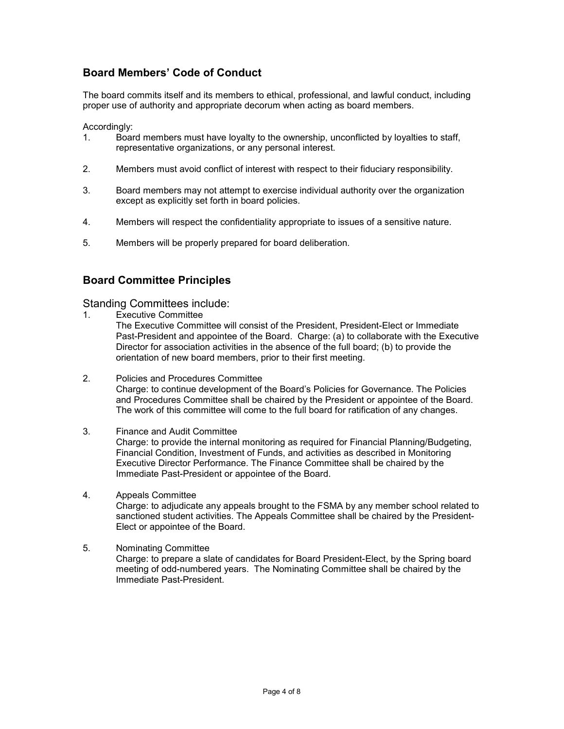#### <span id="page-3-0"></span>**Board Members' Code of Conduct**

The board commits itself and its members to ethical, professional, and lawful conduct, including proper use of authority and appropriate decorum when acting as board members.

Accordingly:

- 1. Board members must have loyalty to the ownership, unconflicted by loyalties to staff, representative organizations, or any personal interest.
- 2. Members must avoid conflict of interest with respect to their fiduciary responsibility.
- 3. Board members may not attempt to exercise individual authority over the organization except as explicitly set forth in board policies.
- 4. Members will respect the confidentiality appropriate to issues of a sensitive nature.
- 5. Members will be properly prepared for board deliberation.

#### <span id="page-3-1"></span>**Board Committee Principles**

Standing Committees include:

1. Executive Committee

The Executive Committee will consist of the President, President-Elect or Immediate Past-President and appointee of the Board. Charge: (a) to collaborate with the Executive Director for association activities in the absence of the full board; (b) to provide the orientation of new board members, prior to their first meeting.

- 2. Policies and Procedures Committee Charge: to continue development of the Board's Policies for Governance. The Policies and Procedures Committee shall be chaired by the President or appointee of the Board. The work of this committee will come to the full board for ratification of any changes.
- 3. Finance and Audit Committee Charge: to provide the internal monitoring as required for Financial Planning/Budgeting, Financial Condition, Investment of Funds, and activities as described in Monitoring Executive Director Performance. The Finance Committee shall be chaired by the Immediate Past-President or appointee of the Board.
- 4. Appeals Committee Charge: to adjudicate any appeals brought to the FSMA by any member school related to sanctioned student activities. The Appeals Committee shall be chaired by the President-Elect or appointee of the Board.
- 5. Nominating Committee Charge: to prepare a slate of candidates for Board President-Elect, by the Spring board meeting of odd-numbered years. The Nominating Committee shall be chaired by the Immediate Past-President.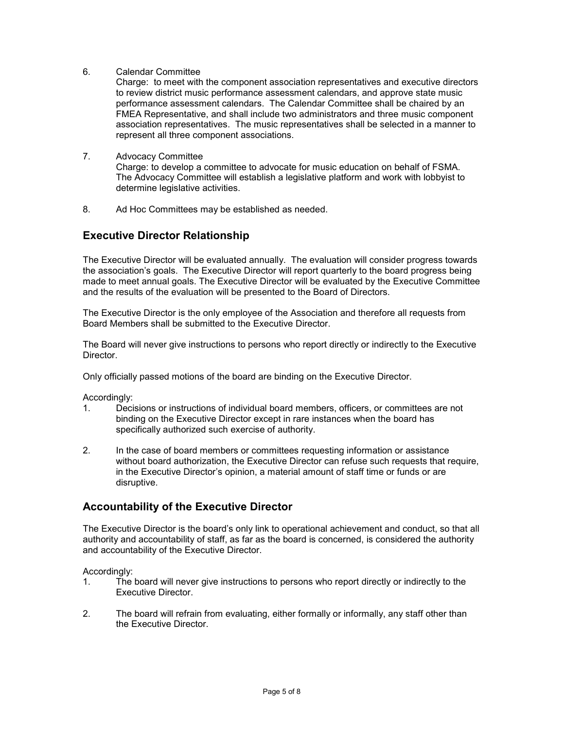6. Calendar Committee

Charge: to meet with the component association representatives and executive directors to review district music performance assessment calendars, and approve state music performance assessment calendars. The Calendar Committee shall be chaired by an FMEA Representative, and shall include two administrators and three music component association representatives. The music representatives shall be selected in a manner to represent all three component associations.

#### 7. Advocacy Committee

Charge: to develop a committee to advocate for music education on behalf of FSMA. The Advocacy Committee will establish a legislative platform and work with lobbyist to determine legislative activities.

8. Ad Hoc Committees may be established as needed.

#### <span id="page-4-0"></span>**Executive Director Relationship**

The Executive Director will be evaluated annually. The evaluation will consider progress towards the association's goals. The Executive Director will report quarterly to the board progress being made to meet annual goals. The Executive Director will be evaluated by the Executive Committee and the results of the evaluation will be presented to the Board of Directors.

The Executive Director is the only employee of the Association and therefore all requests from Board Members shall be submitted to the Executive Director.

The Board will never give instructions to persons who report directly or indirectly to the Executive Director.

Only officially passed motions of the board are binding on the Executive Director.

Accordingly:

- 1. Decisions or instructions of individual board members, officers, or committees are not binding on the Executive Director except in rare instances when the board has specifically authorized such exercise of authority.
- 2. In the case of board members or committees requesting information or assistance without board authorization, the Executive Director can refuse such requests that require, in the Executive Director's opinion, a material amount of staff time or funds or are disruptive.

#### <span id="page-4-1"></span>**Accountability of the Executive Director**

The Executive Director is the board's only link to operational achievement and conduct, so that all authority and accountability of staff, as far as the board is concerned, is considered the authority and accountability of the Executive Director.

Accordingly:

- 1. The board will never give instructions to persons who report directly or indirectly to the Executive Director.
- 2. The board will refrain from evaluating, either formally or informally, any staff other than the Executive Director.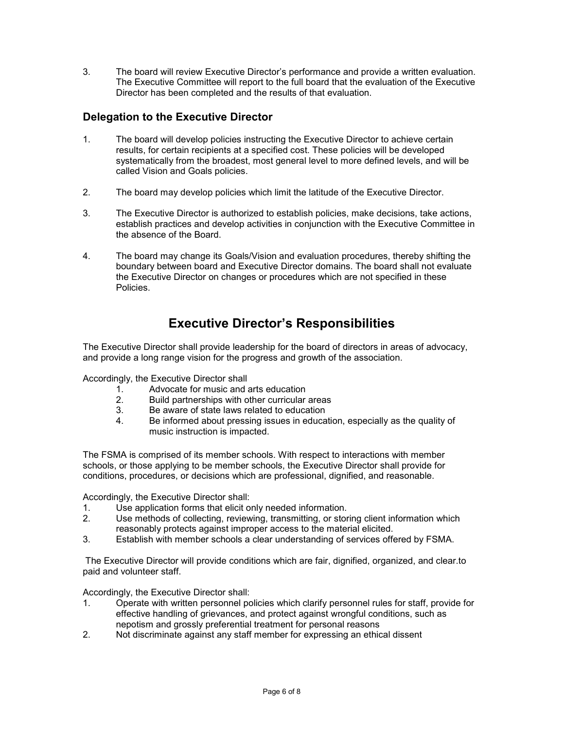3. The board will review Executive Director's performance and provide a written evaluation. The Executive Committee will report to the full board that the evaluation of the Executive Director has been completed and the results of that evaluation.

#### <span id="page-5-0"></span>**Delegation to the Executive Director**

- 1. The board will develop policies instructing the Executive Director to achieve certain results, for certain recipients at a specified cost. These policies will be developed systematically from the broadest, most general level to more defined levels, and will be called Vision and Goals policies.
- 2. The board may develop policies which limit the latitude of the Executive Director.
- 3. The Executive Director is authorized to establish policies, make decisions, take actions, establish practices and develop activities in conjunction with the Executive Committee in the absence of the Board.
- 4. The board may change its Goals/Vision and evaluation procedures, thereby shifting the boundary between board and Executive Director domains. The board shall not evaluate the Executive Director on changes or procedures which are not specified in these Policies.

### **Executive Director's Responsibilities**

<span id="page-5-1"></span>The Executive Director shall provide leadership for the board of directors in areas of advocacy, and provide a long range vision for the progress and growth of the association.

Accordingly, the Executive Director shall

- 1. Advocate for music and arts education<br>2. Build partnerships with other curricular
- Build partnerships with other curricular areas
- 3. Be aware of state laws related to education<br>4 Be informed about pressing issues in educa
- Be informed about pressing issues in education, especially as the quality of music instruction is impacted.

The FSMA is comprised of its member schools. With respect to interactions with member schools, or those applying to be member schools, the Executive Director shall provide for conditions, procedures, or decisions which are professional, dignified, and reasonable.

Accordingly, the Executive Director shall:

- 1. Use application forms that elicit only needed information.
- 2. Use methods of collecting, reviewing, transmitting, or storing client information which reasonably protects against improper access to the material elicited.
- 3. Establish with member schools a clear understanding of services offered by FSMA.

The Executive Director will provide conditions which are fair, dignified, organized, and clear.to paid and volunteer staff.

Accordingly, the Executive Director shall:

- 1. Operate with written personnel policies which clarify personnel rules for staff, provide for effective handling of grievances, and protect against wrongful conditions, such as nepotism and grossly preferential treatment for personal reasons
- 2. Not discriminate against any staff member for expressing an ethical dissent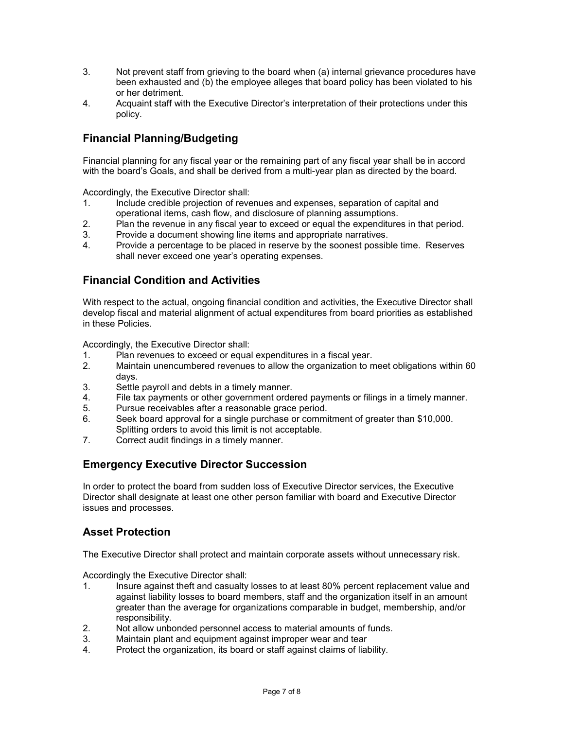- 3. Not prevent staff from grieving to the board when (a) internal grievance procedures have been exhausted and (b) the employee alleges that board policy has been violated to his or her detriment.
- 4. Acquaint staff with the Executive Director's interpretation of their protections under this policy.

#### <span id="page-6-0"></span>**Financial Planning/Budgeting**

Financial planning for any fiscal year or the remaining part of any fiscal year shall be in accord with the board's Goals, and shall be derived from a multi-year plan as directed by the board.

Accordingly, the Executive Director shall:

- 1. Include credible projection of revenues and expenses, separation of capital and operational items, cash flow, and disclosure of planning assumptions.
- 2. Plan the revenue in any fiscal year to exceed or equal the expenditures in that period.
- 3. Provide a document showing line items and appropriate narratives.
- 4. Provide a percentage to be placed in reserve by the soonest possible time. Reserves shall never exceed one year's operating expenses.

#### <span id="page-6-1"></span>**Financial Condition and Activities**

With respect to the actual, ongoing financial condition and activities, the Executive Director shall develop fiscal and material alignment of actual expenditures from board priorities as established in these Policies.

Accordingly, the Executive Director shall:

- 1. Plan revenues to exceed or equal expenditures in a fiscal year.
- 2. Maintain unencumbered revenues to allow the organization to meet obligations within 60 days.
- 3. Settle payroll and debts in a timely manner.
- 4. File tax payments or other government ordered payments or filings in a timely manner.
- 5. Pursue receivables after a reasonable grace period.
- 6. Seek board approval for a single purchase or commitment of greater than \$10,000. Splitting orders to avoid this limit is not acceptable.
- 7. Correct audit findings in a timely manner.

#### <span id="page-6-2"></span>**Emergency Executive Director Succession**

In order to protect the board from sudden loss of Executive Director services, the Executive Director shall designate at least one other person familiar with board and Executive Director issues and processes.

#### <span id="page-6-3"></span>**Asset Protection**

The Executive Director shall protect and maintain corporate assets without unnecessary risk.

Accordingly the Executive Director shall:

- 1. Insure against theft and casualty losses to at least 80% percent replacement value and against liability losses to board members, staff and the organization itself in an amount greater than the average for organizations comparable in budget, membership, and/or responsibility.
- 2. Not allow unbonded personnel access to material amounts of funds.
- 3. Maintain plant and equipment against improper wear and tear
- 4. Protect the organization, its board or staff against claims of liability.